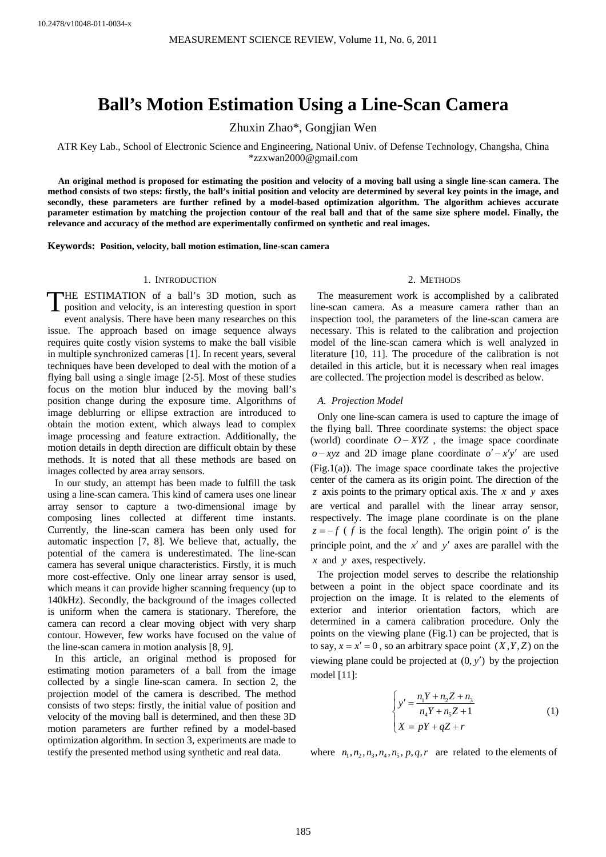# **Ball's Motion Estimation Using a Line-Scan Camera**

Zhuxin Zhao\*, Gongjian Wen

ATR Key Lab., School of Electronic Science and Engineering, National Univ. of Defense Technology, Changsha, China \*zzxwan2000@gmail.com

**An original method is proposed for estimating the position and velocity of a moving ball using a single line-scan camera. The method consists of two steps: firstly, the ball's initial position and velocity are determined by several key points in the image, and secondly, these parameters are further refined by a model-based optimization algorithm. The algorithm achieves accurate parameter estimation by matching the projection contour of the real ball and that of the same size sphere model. Finally, the relevance and accuracy of the method are experimentally confirmed on synthetic and real images.** 

**Keywords: Position, velocity, ball motion estimation, line-scan camera** 

# 1. INTRODUCTION

THE ESTIMATION of a ball's 3D motion, such as<br>position and velocity, is an interesting question in sport position and velocity, is an interesting question in sport event analysis. There have been many researches on this issue. The approach based on image sequence always requires quite costly vision systems to make the ball visible in multiple synchronized cameras [1]. In recent years, several techniques have been developed to deal with the motion of a flying ball using a single image [2-5]. Most of these studies focus on the motion blur induced by the moving ball's position change during the exposure time. Algorithms of image deblurring or ellipse extraction are introduced to obtain the motion extent, which always lead to complex image processing and feature extraction. Additionally, the motion details in depth direction are difficult obtain by these methods. It is noted that all these methods are based on images collected by area array sensors.

In our study, an attempt has been made to fulfill the task using a line-scan camera. This kind of camera uses one linear array sensor to capture a two-dimensional image by composing lines collected at different time instants. Currently, the line-scan camera has been only used for automatic inspection [7, 8]. We believe that, actually, the potential of the camera is underestimated. The line-scan camera has several unique characteristics. Firstly, it is much more cost-effective. Only one linear array sensor is used, which means it can provide higher scanning frequency (up to 140kHz). Secondly, the background of the images collected is uniform when the camera is stationary. Therefore, the camera can record a clear moving object with very sharp contour. However, few works have focused on the value of the line-scan camera in motion analysis [8, 9].

In this article, an original method is proposed for estimating motion parameters of a ball from the image collected by a single line-scan camera. In section 2, the projection model of the camera is described. The method consists of two steps: firstly, the initial value of position and velocity of the moving ball is determined, and then these 3D motion parameters are further refined by a model-based optimization algorithm. In section 3, experiments are made to testify the presented method using synthetic and real data.

### 2. METHODS

The measurement work is accomplished by a calibrated line-scan camera. As a measure camera rather than an inspection tool, the parameters of the line-scan camera are necessary. This is related to the calibration and projection model of the line-scan camera which is well analyzed in literature [10, 11]. The procedure of the calibration is not detailed in this article, but it is necessary when real images are collected. The projection model is described as below.

*A. Projection Model* 

Only one line-scan camera is used to capture the image of the flying ball. Three coordinate systems: the object space (world) coordinate  $O - XYZ$ , the image space coordinate  $o - xyz$  and 2D image plane coordinate  $o' - x'y'$  are used (Fig.1(a)). The image space coordinate takes the projective center of the camera as its origin point. The direction of the *z* axis points to the primary optical axis. The *x* and *y* axes are vertical and parallel with the linear array sensor, respectively. The image plane coordinate is on the plane  $z = -f$  ( *f* is the focal length). The origin point *o'* is the principle point, and the *x*′ and *y*′ axes are parallel with the *x* and *y* axes, respectively.

The projection model serves to describe the relationship between a point in the object space coordinate and its projection on the image. It is related to the elements of exterior and interior orientation factors, which are determined in a camera calibration procedure. Only the points on the viewing plane (Fig.1) can be projected, that is to say,  $x = x' = 0$ , so an arbitrary space point  $(X, Y, Z)$  on the viewing plane could be projected at  $(0, y')$  by the projection model [11]:

$$
\begin{cases}\ny' = \frac{n_1 Y + n_2 Z + n_3}{n_4 Y + n_5 Z + 1} \\
X = pY + qZ + r\n\end{cases}
$$
\n(1)

where  $n_1, n_2, n_3, n_4, n_5, p, q, r$  are related to the elements of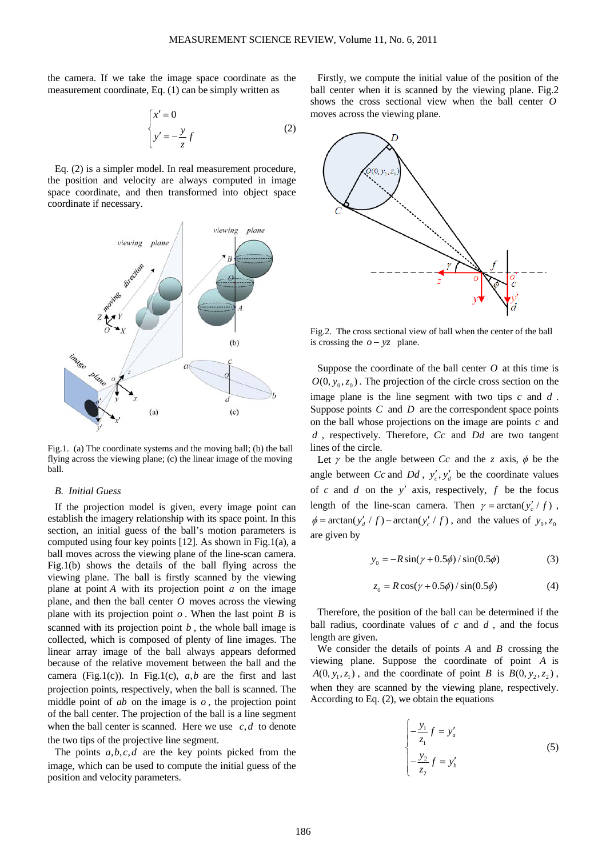the camera. If we take the image space coordinate as the measurement coordinate, Eq. (1) can be simply written as

$$
\begin{cases}\nx' = 0 \\
y' = -\frac{y}{z}f\n\end{cases}
$$
\n(2)

Eq. (2) is a simpler model. In real measurement procedure, the position and velocity are always computed in image space coordinate, and then transformed into object space coordinate if necessary.



Fig.1. (a) The coordinate systems and the moving ball; (b) the ball flying across the viewing plane; (c) the linear image of the moving ball.

## *B. Initial Guess*

If the projection model is given, every image point can establish the imagery relationship with its space point. In this section, an initial guess of the ball's motion parameters is computed using four key points [12]. As shown in Fig.1(a), a ball moves across the viewing plane of the line-scan camera. Fig.1(b) shows the details of the ball flying across the viewing plane. The ball is firstly scanned by the viewing plane at point *A* with its projection point *a* on the image plane, and then the ball center *O* moves across the viewing plane with its projection point *o* . When the last point *B* is scanned with its projection point *b* , the whole ball image is collected, which is composed of plenty of line images. The linear array image of the ball always appears deformed because of the relative movement between the ball and the camera (Fig.1(c)). In Fig.1(c),  $a, b$  are the first and last projection points, respectively, when the ball is scanned. The middle point of *ab* on the image is *o* , the projection point of the ball center. The projection of the ball is a line segment when the ball center is scanned. Here we use  $c, d$  to denote the two tips of the projective line segment.

The points  $a, b, c, d$  are the key points picked from the image, which can be used to compute the initial guess of the position and velocity parameters.

Firstly, we compute the initial value of the position of the ball center when it is scanned by the viewing plane. Fig.2 shows the cross sectional view when the ball center *O* moves across the viewing plane.



Fig.2. The cross sectional view of ball when the center of the ball is crossing the  $o - yz$  plane.

Suppose the coordinate of the ball center *O* at this time is  $O(0, y_0, z_0)$ . The projection of the circle cross section on the image plane is the line segment with two tips *c* and *d* . Suppose points *C* and *D* are the correspondent space points on the ball whose projections on the image are points *c* and *d* , respectively. Therefore, *Cc* and *Dd* are two tangent lines of the circle.

Let  $\gamma$  be the angle between *Cc* and the *z* axis,  $\phi$  be the angle between *Cc* and *Dd*,  $y'_c, y'_d$  be the coordinate values of *c* and *d* on the *y*′ axis, respectively, *f* be the focus length of the line-scan camera. Then  $\gamma = \arctan(y'_c / f)$ ,  $\phi = \arctan(y'_d / f) - \arctan(y'_c / f)$ , and the values of  $y_0, z_0$ are given by

$$
y_0 = -R\sin(\gamma + 0.5\phi) / \sin(0.5\phi)
$$
 (3)

$$
z_0 = R\cos(\gamma + 0.5\phi) / \sin(0.5\phi)
$$
 (4)

Therefore, the position of the ball can be determined if the ball radius, coordinate values of *c* and *d* , and the focus length are given.

We consider the details of points *A* and *B* crossing the viewing plane. Suppose the coordinate of point *A* is  $A(0, y_1, z_1)$ , and the coordinate of point *B* is  $B(0, y_2, z_2)$ , when they are scanned by the viewing plane, respectively. According to Eq. (2), we obtain the equations

$$
\begin{cases}\n-\frac{y_1}{z_1}f = y'_a \\
-\frac{y_2}{z_2}f = y'_b\n\end{cases}
$$
\n(5)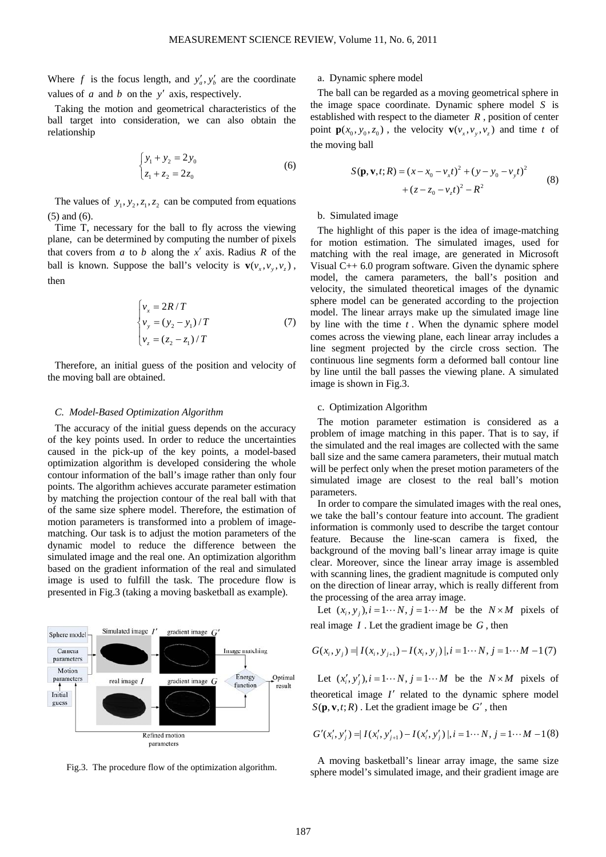Where *f* is the focus length, and  $y'_a, y'_b$  are the coordinate values of *a* and *b* on the *y*′ axis, respectively.

Taking the motion and geometrical characteristics of the ball target into consideration, we can also obtain the relationship

$$
\begin{cases}\ny_1 + y_2 = 2y_0 \\
z_1 + z_2 = 2z_0\n\end{cases}
$$
\n(6)

The values of  $y_1, y_2, z_1, z_2$  can be computed from equations (5) and (6).

Time T, necessary for the ball to fly across the viewing plane, can be determined by computing the number of pixels that covers from *a* to *b* along the *x*′ axis. Radius *R* of the ball is known. Suppose the ball's velocity is  $\mathbf{v}(v_*, v_*, v_*)$ , then

$$
\begin{cases}\nv_x = 2R/T \\
v_y = (y_2 - y_1)/T \\
v_z = (z_2 - z_1)/T\n\end{cases}
$$
\n(7)

Therefore, an initial guess of the position and velocity of the moving ball are obtained.

## *C. Model-Based Optimization Algorithm*

The accuracy of the initial guess depends on the accuracy of the key points used. In order to reduce the uncertainties caused in the pick-up of the key points, a model-based optimization algorithm is developed considering the whole contour information of the ball's image rather than only four points. The algorithm achieves accurate parameter estimation by matching the projection contour of the real ball with that of the same size sphere model. Therefore, the estimation of motion parameters is transformed into a problem of imagematching. Our task is to adjust the motion parameters of the dynamic model to reduce the difference between the simulated image and the real one. An optimization algorithm based on the gradient information of the real and simulated image is used to fulfill the task. The procedure flow is presented in Fig.3 (taking a moving basketball as example).



Fig.3. The procedure flow of the optimization algorithm.

# a. Dynamic sphere model

The ball can be regarded as a moving geometrical sphere in the image space coordinate. Dynamic sphere model *S* is established with respect to the diameter *R* , position of center point  $\mathbf{p}(x_0, y_0, z_0)$ , the velocity  $\mathbf{v}(v_x, v_y, v_z)$  and time *t* of the moving ball

$$
S(\mathbf{p}, \mathbf{v}, t; R) = (x - x_0 - v_x t)^2 + (y - y_0 - v_y t)^2
$$
  
+  $(z - z_0 - v_z t)^2 - R^2$  (8)

## b. Simulated image

The highlight of this paper is the idea of image-matching for motion estimation. The simulated images, used for matching with the real image, are generated in Microsoft Visual C++ 6.0 program software. Given the dynamic sphere model, the camera parameters, the ball's position and velocity, the simulated theoretical images of the dynamic sphere model can be generated according to the projection model. The linear arrays make up the simulated image line by line with the time *t* . When the dynamic sphere model comes across the viewing plane, each linear array includes a line segment projected by the circle cross section. The continuous line segments form a deformed ball contour line by line until the ball passes the viewing plane. A simulated image is shown in Fig.3.

# c. Optimization Algorithm

The motion parameter estimation is considered as a problem of image matching in this paper. That is to say, if the simulated and the real images are collected with the same ball size and the same camera parameters, their mutual match will be perfect only when the preset motion parameters of the simulated image are closest to the real ball's motion parameters.

In order to compare the simulated images with the real ones, we take the ball's contour feature into account. The gradient information is commonly used to describe the target contour feature. Because the line-scan camera is fixed, the background of the moving ball's linear array image is quite clear. Moreover, since the linear array image is assembled with scanning lines, the gradient magnitude is computed only on the direction of linear array, which is really different from the processing of the area array image.

Let  $(x_i, y_i)$ ,  $i = 1 \cdots N$ ,  $j = 1 \cdots M$  be the  $N \times M$  pixels of real image *I* . Let the gradient image be *G* , then

$$
G(x_i, y_j) = |I(x_i, y_{j+1}) - I(x_i, y_j)|, i = 1 \cdots N, j = 1 \cdots M - 1(7)
$$

Let  $(x'_i, y'_j), i = 1 \cdots N$ ,  $j = 1 \cdots M$  be the  $N \times M$  pixels of theoretical image *I*′ related to the dynamic sphere model  $S(\mathbf{p}, \mathbf{v}, t; R)$ . Let the gradient image be *G'*, then

$$
G'(x'_{i}, y'_{j}) = I(x'_{i}, y'_{j+1}) - I(x'_{i}, y'_{j}) |, i = 1 \cdots N, j = 1 \cdots M - 1(8)
$$

A moving basketball's linear array image, the same size sphere model's simulated image, and their gradient image are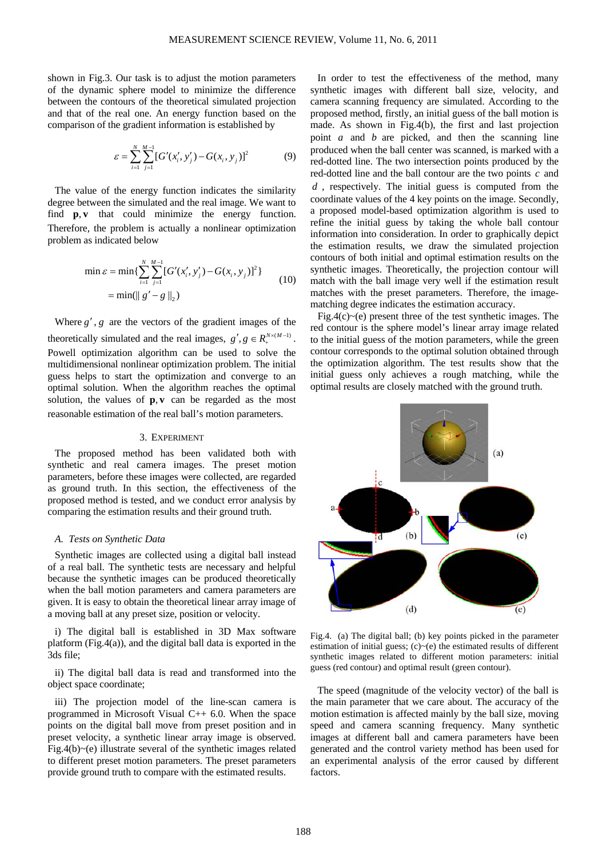shown in Fig.3. Our task is to adjust the motion parameters of the dynamic sphere model to minimize the difference between the contours of the theoretical simulated projection and that of the real one. An energy function based on the comparison of the gradient information is established by

$$
\varepsilon = \sum_{i=1}^{N} \sum_{j=1}^{M-1} [G'(x'_i, y'_j) - G(x_i, y_j)]^2
$$
(9)

The value of the energy function indicates the similarity degree between the simulated and the real image. We want to find  $\mathbf{p}, \mathbf{v}$  that could minimize the energy function. Therefore, the problem is actually a nonlinear optimization problem as indicated below

$$
\min \varepsilon = \min \{ \sum_{i=1}^{N} \sum_{j=1}^{M-1} [G'(x'_i, y'_j) - G(x_i, y_j)]^2 \}
$$
  
= 
$$
\min(\| g' - g \|_2)
$$
 (10)

Where  $g'$ ,  $g$  are the vectors of the gradient images of the theoretically simulated and the real images,  $g', g \in R_{+}^{N \times (M-1)}$ . Powell optimization algorithm can be used to solve the multidimensional nonlinear optimization problem. The initial guess helps to start the optimization and converge to an optimal solution. When the algorithm reaches the optimal solution, the values of  $\mathbf{p}, \mathbf{v}$  can be regarded as the most reasonable estimation of the real ball's motion parameters.

# 3. EXPERIMENT

The proposed method has been validated both with synthetic and real camera images. The preset motion parameters, before these images were collected, are regarded as ground truth. In this section, the effectiveness of the proposed method is tested, and we conduct error analysis by comparing the estimation results and their ground truth.

#### *A. Tests on Synthetic Data*

Synthetic images are collected using a digital ball instead of a real ball. The synthetic tests are necessary and helpful because the synthetic images can be produced theoretically when the ball motion parameters and camera parameters are given. It is easy to obtain the theoretical linear array image of a moving ball at any preset size, position or velocity.

i) The digital ball is established in 3D Max software platform (Fig.4(a)), and the digital ball data is exported in the 3ds file;

ii) The digital ball data is read and transformed into the object space coordinate;

iii) The projection model of the line-scan camera is programmed in Microsoft Visual C++ 6.0. When the space points on the digital ball move from preset position and in preset velocity, a synthetic linear array image is observed. Fig.4(b) $\sim$ (e) illustrate several of the synthetic images related to different preset motion parameters. The preset parameters provide ground truth to compare with the estimated results.

In order to test the effectiveness of the method, many synthetic images with different ball size, velocity, and camera scanning frequency are simulated. According to the proposed method, firstly, an initial guess of the ball motion is made. As shown in Fig.4(b), the first and last projection point *a* and *b* are picked, and then the scanning line produced when the ball center was scanned, is marked with a red-dotted line. The two intersection points produced by the red-dotted line and the ball contour are the two points *c* and *d* , respectively. The initial guess is computed from the coordinate values of the 4 key points on the image. Secondly, a proposed model-based optimization algorithm is used to refine the initial guess by taking the whole ball contour information into consideration. In order to graphically depict the estimation results, we draw the simulated projection contours of both initial and optimal estimation results on the synthetic images. Theoretically, the projection contour will match with the ball image very well if the estimation result matches with the preset parameters. Therefore, the imagematching degree indicates the estimation accuracy.

Fig.4(c) $\sim$ (e) present three of the test synthetic images. The red contour is the sphere model's linear array image related to the initial guess of the motion parameters, while the green contour corresponds to the optimal solution obtained through the optimization algorithm. The test results show that the initial guess only achieves a rough matching, while the optimal results are closely matched with the ground truth.



Fig.4. (a) The digital ball; (b) key points picked in the parameter estimation of initial guess;  $(c)$   $\sim$  (e) the estimated results of different synthetic images related to different motion parameters: initial guess (red contour) and optimal result (green contour).

The speed (magnitude of the velocity vector) of the ball is the main parameter that we care about. The accuracy of the motion estimation is affected mainly by the ball size, moving speed and camera scanning frequency. Many synthetic images at different ball and camera parameters have been generated and the control variety method has been used for an experimental analysis of the error caused by different factors.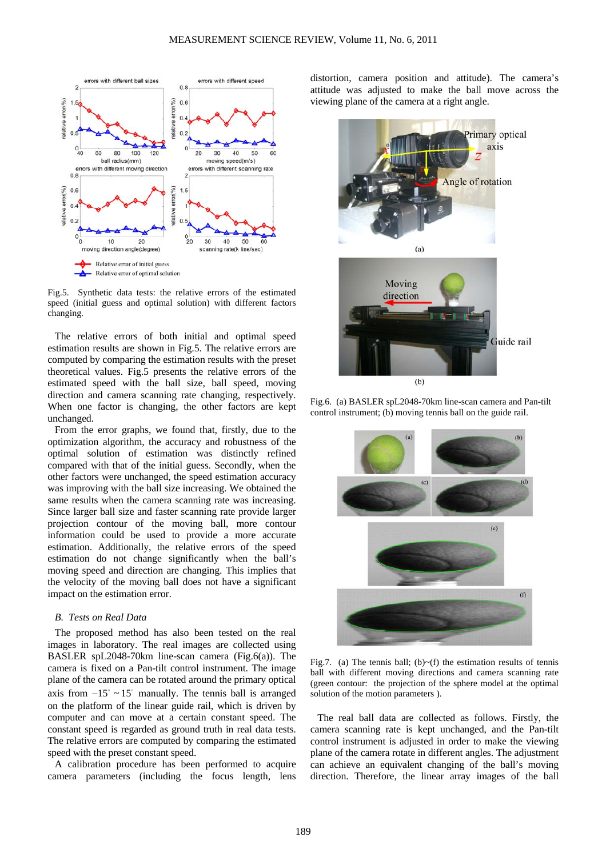

Fig.5. Synthetic data tests: the relative errors of the estimated speed (initial guess and optimal solution) with different factors changing.

The relative errors of both initial and optimal speed estimation results are shown in Fig.5. The relative errors are computed by comparing the estimation results with the preset theoretical values. Fig.5 presents the relative errors of the estimated speed with the ball size, ball speed, moving direction and camera scanning rate changing, respectively. When one factor is changing, the other factors are kept unchanged.

From the error graphs, we found that, firstly, due to the optimization algorithm, the accuracy and robustness of the optimal solution of estimation was distinctly refined compared with that of the initial guess. Secondly, when the other factors were unchanged, the speed estimation accuracy was improving with the ball size increasing. We obtained the same results when the camera scanning rate was increasing. Since larger ball size and faster scanning rate provide larger projection contour of the moving ball, more contour information could be used to provide a more accurate estimation. Additionally, the relative errors of the speed estimation do not change significantly when the ball's moving speed and direction are changing. This implies that the velocity of the moving ball does not have a significant impact on the estimation error.

# *B. Tests on Real Data*

The proposed method has also been tested on the real images in laboratory. The real images are collected using BASLER spL2048-70km line-scan camera (Fig.6(a)). The camera is fixed on a Pan-tilt control instrument. The image plane of the camera can be rotated around the primary optical axis from  $-15^\circ \sim 15^\circ$  manually. The tennis ball is arranged on the platform of the linear guide rail, which is driven by computer and can move at a certain constant speed. The constant speed is regarded as ground truth in real data tests. The relative errors are computed by comparing the estimated speed with the preset constant speed.

A calibration procedure has been performed to acquire camera parameters (including the focus length, lens distortion, camera position and attitude). The camera's attitude was adjusted to make the ball move across the viewing plane of the camera at a right angle.



Fig.6. (a) BASLER spL2048-70km line-scan camera and Pan-tilt control instrument; (b) moving tennis ball on the guide rail.



Fig.7. (a) The tennis ball; (b) $\sim$ (f) the estimation results of tennis ball with different moving directions and camera scanning rate (green contour: the projection of the sphere model at the optimal solution of the motion parameters ).

The real ball data are collected as follows. Firstly, the camera scanning rate is kept unchanged, and the Pan-tilt control instrument is adjusted in order to make the viewing plane of the camera rotate in different angles. The adjustment can achieve an equivalent changing of the ball's moving direction. Therefore, the linear array images of the ball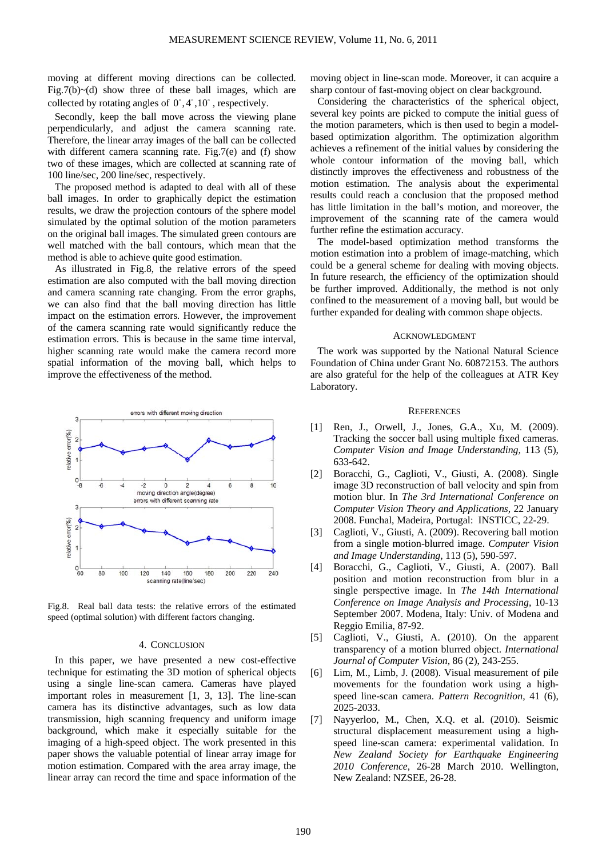moving at different moving directions can be collected. Fig.7(b) $\sim$ (d) show three of these ball images, which are collected by rotating angles of  $0^\circ, 4^\circ, 10^\circ$ , respectively.

Secondly, keep the ball move across the viewing plane perpendicularly, and adjust the camera scanning rate. Therefore, the linear array images of the ball can be collected with different camera scanning rate. Fig.7(e) and (f) show two of these images, which are collected at scanning rate of 100 line/sec, 200 line/sec, respectively.

The proposed method is adapted to deal with all of these ball images. In order to graphically depict the estimation results, we draw the projection contours of the sphere model simulated by the optimal solution of the motion parameters on the original ball images. The simulated green contours are well matched with the ball contours, which mean that the method is able to achieve quite good estimation.

As illustrated in Fig.8, the relative errors of the speed estimation are also computed with the ball moving direction and camera scanning rate changing. From the error graphs, we can also find that the ball moving direction has little impact on the estimation errors. However, the improvement of the camera scanning rate would significantly reduce the estimation errors. This is because in the same time interval, higher scanning rate would make the camera record more spatial information of the moving ball, which helps to improve the effectiveness of the method.



Fig.8. Real ball data tests: the relative errors of the estimated speed (optimal solution) with different factors changing.

# 4. CONCLUSION

In this paper, we have presented a new cost-effective technique for estimating the 3D motion of spherical objects using a single line-scan camera. Cameras have played important roles in measurement [1, 3, 13]. The line-scan camera has its distinctive advantages, such as low data transmission, high scanning frequency and uniform image background, which make it especially suitable for the imaging of a high-speed object. The work presented in this paper shows the valuable potential of linear array image for motion estimation. Compared with the area array image, the linear array can record the time and space information of the moving object in line-scan mode. Moreover, it can acquire a sharp contour of fast-moving object on clear background.

Considering the characteristics of the spherical object, several key points are picked to compute the initial guess of the motion parameters, which is then used to begin a modelbased optimization algorithm. The optimization algorithm achieves a refinement of the initial values by considering the whole contour information of the moving ball, which distinctly improves the effectiveness and robustness of the motion estimation. The analysis about the experimental results could reach a conclusion that the proposed method has little limitation in the ball's motion, and moreover, the improvement of the scanning rate of the camera would further refine the estimation accuracy.

The model-based optimization method transforms the motion estimation into a problem of image-matching, which could be a general scheme for dealing with moving objects. In future research, the efficiency of the optimization should be further improved. Additionally, the method is not only confined to the measurement of a moving ball, but would be further expanded for dealing with common shape objects.

#### ACKNOWLEDGMENT

The work was supported by the National Natural Science Foundation of China under Grant No. 60872153. The authors are also grateful for the help of the colleagues at ATR Key Laboratory.

#### **REFERENCES**

- [1] Ren, J., Orwell, J., Jones, G.A., Xu, M. (2009). Tracking the soccer ball using multiple fixed cameras. *Computer Vision and Image Understanding,* 113 (5), 633-642.
- [2] Boracchi, G., Caglioti, V., Giusti, A. (2008). Single image 3D reconstruction of ball velocity and spin from motion blur. In *The 3rd International Conference on Computer Vision Theory and Applications,* 22 January 2008. Funchal, Madeira, Portugal: INSTICC, 22-29.
- [3] Caglioti, V., Giusti, A. (2009). Recovering ball motion from a single motion-blurred image. *Computer Vision and Image Understanding,* 113 (5), 590-597.
- [4] Boracchi, G., Caglioti, V., Giusti, A. (2007). Ball position and motion reconstruction from blur in a single perspective image. In *The 14th International Conference on Image Analysis and Processing*, 10-13 September 2007. Modena, Italy: Univ. of Modena and Reggio Emilia, 87-92.
- [5] Caglioti, V., Giusti, A. (2010). On the apparent transparency of a motion blurred object. *International Journal of Computer Vision,* 86 (2), 243-255.
- [6] Lim, M., Limb, J. (2008). Visual measurement of pile movements for the foundation work using a highspeed line-scan camera. *Pattern Recognition,* 41 (6), 2025-2033.
- [7] Nayyerloo, M., Chen, X.Q. et al. (2010). Seismic structural displacement measurement using a highspeed line-scan camera: experimental validation. In *New Zealand Society for Earthquake Engineering 2010 Conference*, 26-28 March 2010. Wellington, New Zealand: NZSEE, 26-28.